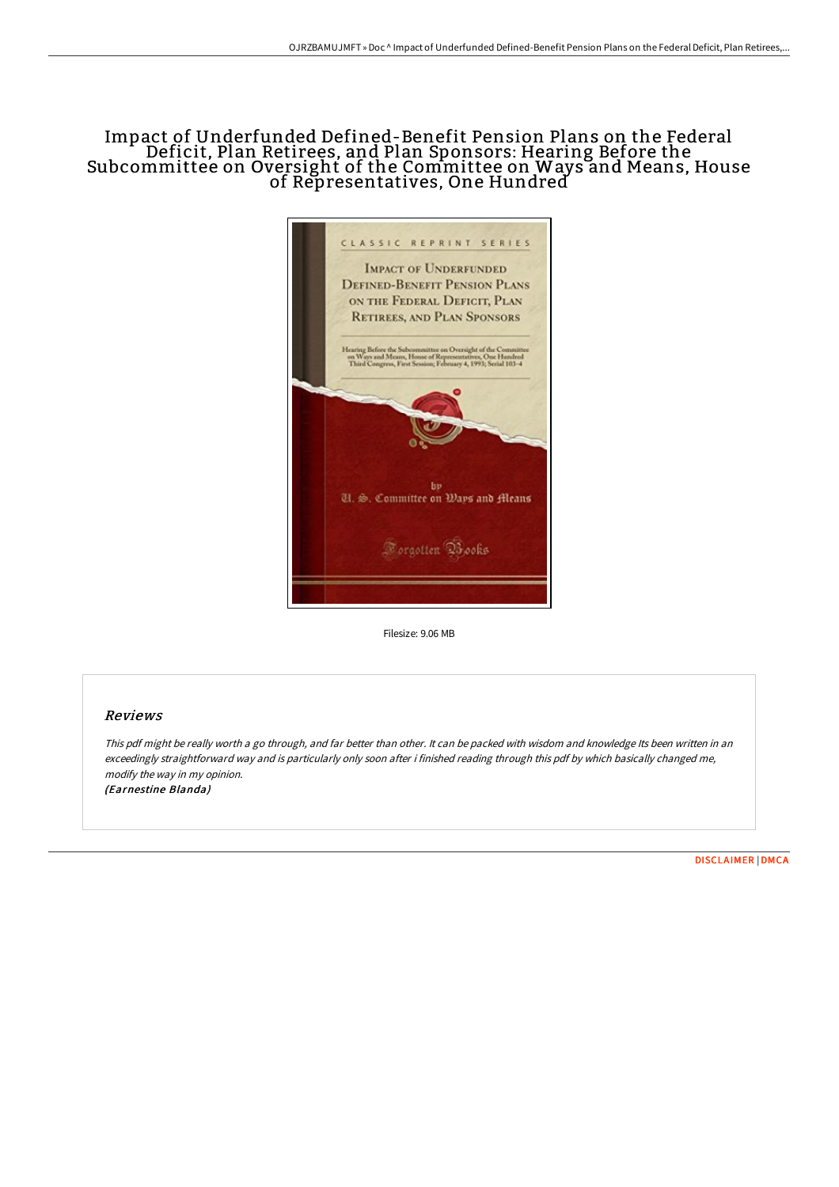## Impact of Underfunded Defined-Benefit Pension Plans on the Federal Deficit, Plan Retirees, and Plan Sponsors: Hearing Before the Subcommittee on Oversight of the Committee on Ways and Means, House of Representatives, One Hundred



Filesize: 9.06 MB

## Reviews

This pdf might be really worth <sup>a</sup> go through, and far better than other. It can be packed with wisdom and knowledge Its been written in an exceedingly straightforward way and is particularly only soon after i finished reading through this pdf by which basically changed me, modify the way in my opinion. (Earnestine Blanda)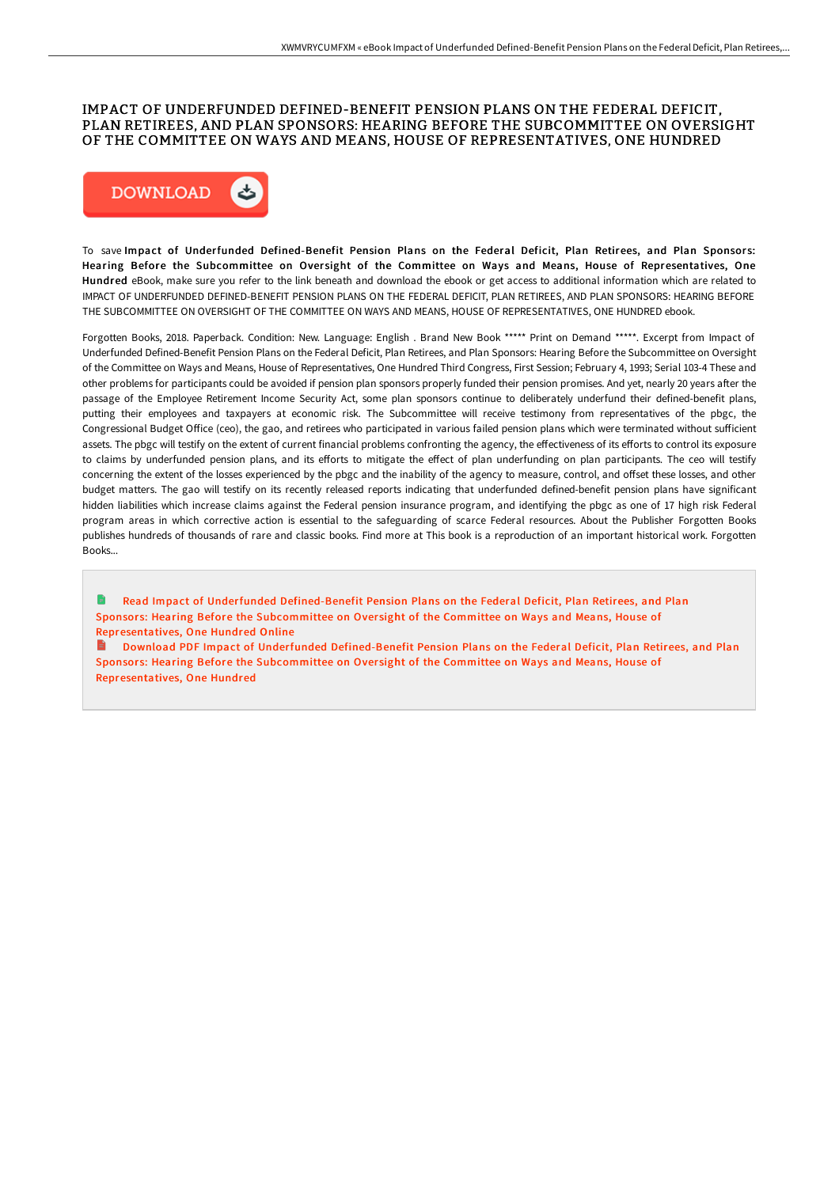## IMPACT OF UNDERFUNDED DEFINED-BENEFIT PENSION PLANS ON THE FEDERAL DEFICIT, PLAN RETIREES, AND PLAN SPONSORS: HEARING BEFORE THE SUBCOMMITTEE ON OVERSIGHT OF THE COMMITTEE ON WAYS AND MEANS, HOUSE OF REPRESENTATIVES, ONE HUNDRED



To save Impact of Underfunded Defined-Benefit Pension Plans on the Federal Deficit, Plan Retirees, and Plan Sponsors: Hearing Before the Subcommittee on Oversight of the Committee on Ways and Means, House of Representatives, One Hundred eBook, make sure you refer to the link beneath and download the ebook or get access to additional information which are related to IMPACT OF UNDERFUNDED DEFINED-BENEFIT PENSION PLANS ON THE FEDERAL DEFICIT, PLAN RETIREES, AND PLAN SPONSORS: HEARING BEFORE THE SUBCOMMITTEE ON OVERSIGHT OF THE COMMITTEE ON WAYS AND MEANS, HOUSE OF REPRESENTATIVES, ONE HUNDRED ebook.

Forgotten Books, 2018. Paperback. Condition: New. Language: English . Brand New Book \*\*\*\*\* Print on Demand \*\*\*\*\*. Excerpt from Impact of Underfunded Defined-Benefit Pension Plans on the Federal Deficit, Plan Retirees, and Plan Sponsors: Hearing Before the Subcommittee on Oversight of the Committee on Ways and Means, House of Representatives, One Hundred Third Congress, First Session; February 4, 1993; Serial 103-4 These and other problems for participants could be avoided if pension plan sponsors properly funded their pension promises. And yet, nearly 20 years aFer the passage of the Employee Retirement Income Security Act, some plan sponsors continue to deliberately underfund their defined-benefit plans, putting their employees and taxpayers at economic risk. The Subcommittee will receive testimony from representatives of the pbgc, the Congressional Budget Office (ceo), the gao, and retirees who participated in various failed pension plans which were terminated without sufficient assets. The pbgc will testify on the extent of current financial problems confronting the agency, the effectiveness of its efforts to control its exposure to claims by underfunded pension plans, and its efforts to mitigate the effect of plan underfunding on plan participants. The ceo will testify concerning the extent of the losses experienced by the pbgc and the inability of the agency to measure, control, and offset these losses, and other budget matters. The gao will testify on its recently released reports indicating that underfunded defined-benefit pension plans have significant hidden liabilities which increase claims against the Federal pension insurance program, and identifying the pbgc as one of 17 high risk Federal program areas in which corrective action is essential to the safeguarding of scarce Federal resources. About the Publisher Forgotten Books publishes hundreds of thousands of rare and classic books. Find more at This book is a reproduction of an important historical work. Forgotten Books...

la. Read Impact of Underfunded Defined-Benefit Pension Plans on the Federal Deficit, Plan Retirees, and Plan Sponsors: Hearing Before the Subcommittee on Oversight of the Committee on Ways and Means, House of [Representatives,](http://albedo.media/impact-of-underfunded-defined-benefit-pension-pl.html) One Hundred Online

Download PDF Impact of Underfunded Defined-Benefit Pension Plans on the Federal Deficit, Plan Retirees, and Plan Sponsors: Hearing Before the Subcommittee on Oversight of the Committee on Ways and Means, House of [Representatives,](http://albedo.media/impact-of-underfunded-defined-benefit-pension-pl.html) One Hundred